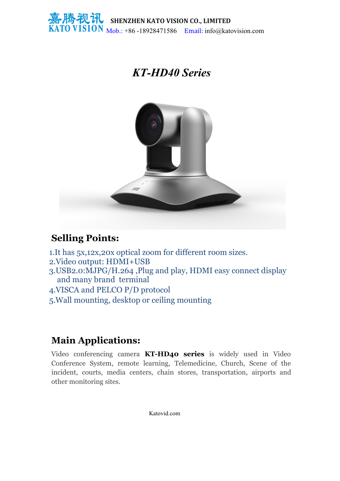

## *KT-HD40 Series*



## **Selling Points:**

- 1.It has 5x,12x,20x optical zoom for different room sizes.
- 2.Video output: HDMI+USB
- 3.USB2.0:MJPG/H.264 ,Plug and play, HDMI easy connect display and many brand terminal
- 4.VISCA and PELCO P/D protocol
- 5.Wall mounting, desktop or ceiling mounting

## **Main Applications:**

Video conferencing camera **KT-HD40 series** is widely used in Video Conference System, remote learning, Telemedicine, Church, Scene of the incident, courts, media centers, chain stores, transportation, airports and other monitoring sites.

Katovid.com